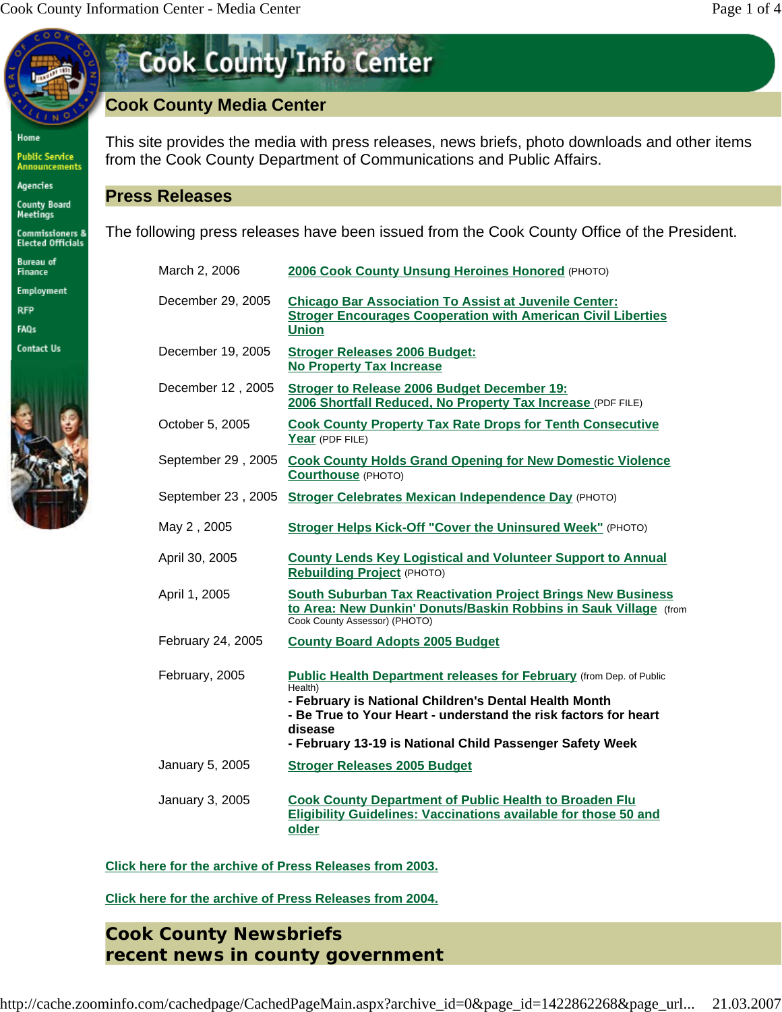Home

**Public Service<br>Announcements** 

Agencies

County Board<br>Meetings

Commissioners &<br>Elected Officials

Bureau of<br>Finance

Employment

**RFP** 

FAQs **Contact Us** 



| <b>Cook County Info Center</b> |  |
|--------------------------------|--|
|                                |  |

# **Cook County Media Center**

This site provides the media with press releases, news briefs, photo downloads and other items from the Cook County Department of Communications and Public Affairs.

## **Press Releases**

The following press releases have been issued from the Cook County Office of the President.

| March 2, 2006      | 2006 Cook County Unsung Heroines Honored (PHOTO)                                                                                                                                                                                                                                  |
|--------------------|-----------------------------------------------------------------------------------------------------------------------------------------------------------------------------------------------------------------------------------------------------------------------------------|
| December 29, 2005  | <b>Chicago Bar Association To Assist at Juvenile Center:</b><br><b>Stroger Encourages Cooperation with American Civil Liberties</b><br><b>Union</b>                                                                                                                               |
| December 19, 2005  | <b>Stroger Releases 2006 Budget:</b><br><b>No Property Tax Increase</b>                                                                                                                                                                                                           |
| December 12, 2005  | <b>Stroger to Release 2006 Budget December 19:</b><br>2006 Shortfall Reduced, No Property Tax Increase (PDF FILE)                                                                                                                                                                 |
| October 5, 2005    | <b>Cook County Property Tax Rate Drops for Tenth Consecutive</b><br>Year (PDF FILE)                                                                                                                                                                                               |
| September 29, 2005 | <b>Cook County Holds Grand Opening for New Domestic Violence</b><br>Courthouse (PHOTO)                                                                                                                                                                                            |
|                    | September 23, 2005 Stroger Celebrates Mexican Independence Day (PHOTO)                                                                                                                                                                                                            |
| May 2, 2005        | Stroger Helps Kick-Off "Cover the Uninsured Week" (PHOTO)                                                                                                                                                                                                                         |
| April 30, 2005     | <b>County Lends Key Logistical and Volunteer Support to Annual</b><br><b>Rebuilding Project (PHOTO)</b>                                                                                                                                                                           |
| April 1, 2005      | <b>South Suburban Tax Reactivation Project Brings New Business</b><br>to Area: New Dunkin' Donuts/Baskin Robbins in Sauk Village (from<br>Cook County Assessor) (PHOTO)                                                                                                           |
| February 24, 2005  | <b>County Board Adopts 2005 Budget</b>                                                                                                                                                                                                                                            |
| February, 2005     | Public Health Department releases for February (from Dep. of Public<br>Health)<br>- February is National Children's Dental Health Month<br>- Be True to Your Heart - understand the risk factors for heart<br>disease<br>- February 13-19 is National Child Passenger Safety Week |
| January 5, 2005    | <b>Stroger Releases 2005 Budget</b>                                                                                                                                                                                                                                               |
| January 3, 2005    | <b>Cook County Department of Public Health to Broaden Flu</b><br><b>Eligibility Guidelines: Vaccinations available for those 50 and</b><br>older                                                                                                                                  |

**Click here for the archive of Press Releases from 2003.**

**Click here for the archive of Press Releases from 2004.**

**Cook County Newsbriefs** *recent news in county government*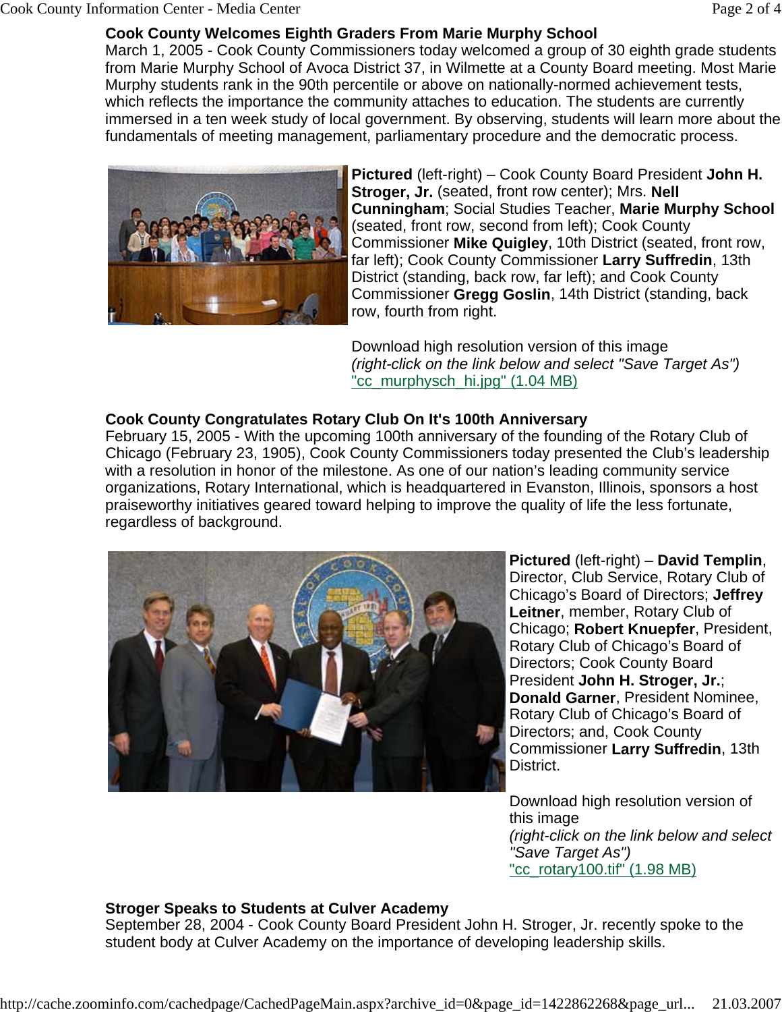#### Cook County Information Center - Media Center **Page 2 of 4**

#### **Cook County Welcomes Eighth Graders From Marie Murphy School**

March 1, 2005 - Cook County Commissioners today welcomed a group of 30 eighth grade students from Marie Murphy School of Avoca District 37, in Wilmette at a County Board meeting. Most Marie Murphy students rank in the 90th percentile or above on nationally-normed achievement tests, which reflects the importance the community attaches to education. The students are currently immersed in a ten week study of local government. By observing, students will learn more about the fundamentals of meeting management, parliamentary procedure and the democratic process.



**Pictured** (left-right) – Cook County Board President **John H. Stroger, Jr.** (seated, front row center); Mrs. **Nell Cunningham**; Social Studies Teacher, **Marie Murphy School** (seated, front row, second from left); Cook County Commissioner **Mike Quigley**, 10th District (seated, front row, far left); Cook County Commissioner **Larry Suffredin**, 13th District (standing, back row, far left); and Cook County Commissioner **Gregg Goslin**, 14th District (standing, back row, fourth from right.

Download high resolution version of this image *(right-click on the link below and select "Save Target As")* "cc\_murphysch\_hi.jpg" (1.04 MB)

#### **Cook County Congratulates Rotary Club On It's 100th Anniversary**

February 15, 2005 - With the upcoming 100th anniversary of the founding of the Rotary Club of Chicago (February 23, 1905), Cook County Commissioners today presented the Club's leadership with a resolution in honor of the milestone. As one of our nation's leading community service organizations, Rotary International, which is headquartered in Evanston, Illinois, sponsors a host praiseworthy initiatives geared toward helping to improve the quality of life the less fortunate, regardless of background.



**Pictured** (left-right) – **David Templin**, Director, Club Service, Rotary Club of Chicago's Board of Directors; **Jeffrey Leitner**, member, Rotary Club of Chicago; **Robert Knuepfer**, President, Rotary Club of Chicago's Board of Directors; Cook County Board President **John H. Stroger, Jr.**; **Donald Garner**, President Nominee, Rotary Club of Chicago's Board of Directors; and, Cook County Commissioner **Larry Suffredin**, 13th District.

Download high resolution version of this image *(right-click on the link below and select "Save Target As")* "cc\_rotary100.tif" (1.98 MB)

#### **Stroger Speaks to Students at Culver Academy**

September 28, 2004 - Cook County Board President John H. Stroger, Jr. recently spoke to the student body at Culver Academy on the importance of developing leadership skills.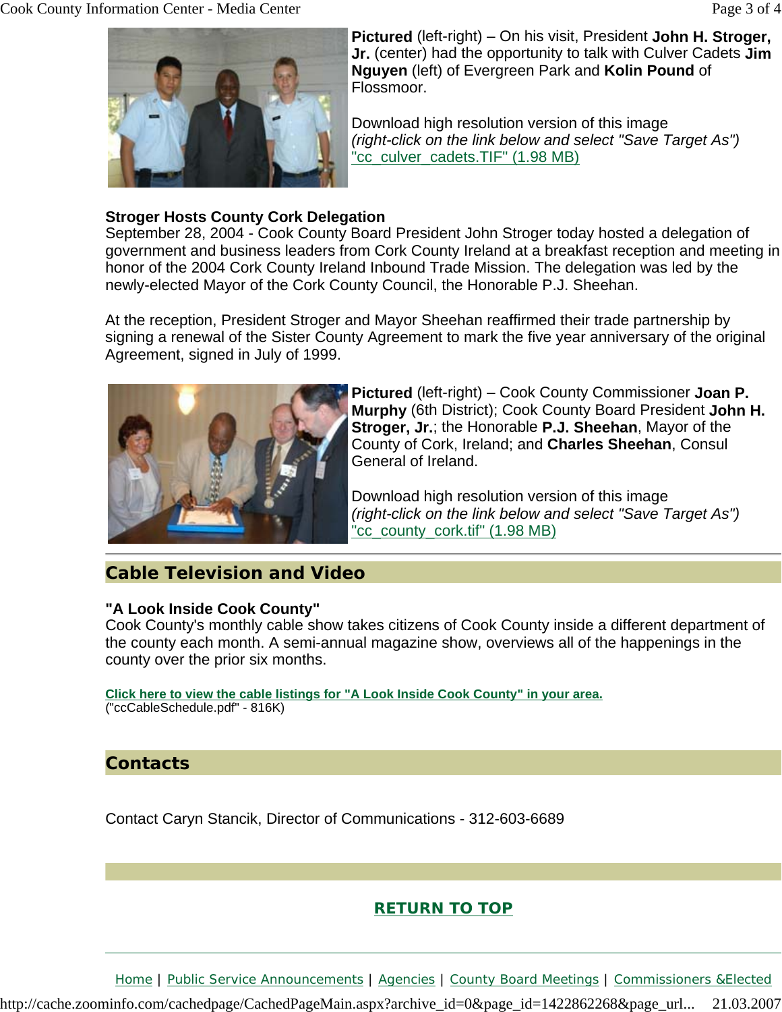

### **Stroger Hosts County Cork Delegation**

September 28, 2004 - Cook County Board President John Stroger today hosted a delegation of government and business leaders from Cork County Ireland at a breakfast reception and meeting in honor of the 2004 Cork County Ireland Inbound Trade Mission. The delegation was led by the newly-elected Mayor of the Cork County Council, the Honorable P.J. Sheehan.

At the reception, President Stroger and Mayor Sheehan reaffirmed their trade partnership by signing a renewal of the Sister County Agreement to mark the five year anniversary of the original Agreement, signed in July of 1999.



**Pictured** (left-right) – Cook County Commissioner **Joan P. Murphy** (6th District); Cook County Board President **John H. Stroger, Jr.**; the Honorable **P.J. Sheehan**, Mayor of the County of Cork, Ireland; and **Charles Sheehan**, Consul General of Ireland.

Download high resolution version of this image *(right-click on the link below and select "Save Target As")* "cc\_county\_cork.tif" (1.98 MB)

## **Cable Television and Video**

#### **"A Look Inside Cook County"**

Cook County's monthly cable show takes citizens of Cook County inside a different department of the county each month. A semi-annual magazine show, overviews all of the happenings in the county over the prior six months.

**Click here to view the cable listings for "A Look Inside Cook County" in your area.** ("ccCableSchedule.pdf" - 816K)

## **Contacts**

Contact Caryn Stancik, Director of Communications - 312-603-6689

## **RETURN TO TOP**

Home | Public Service Announcements | Agencies | County Board Meetings | Commissioners &Elected

http://cache.zoominfo.com/cachedpage/CachedPageMain.aspx?archive\_id=0&page\_id=1422862268&page\_url... 21.03.2007